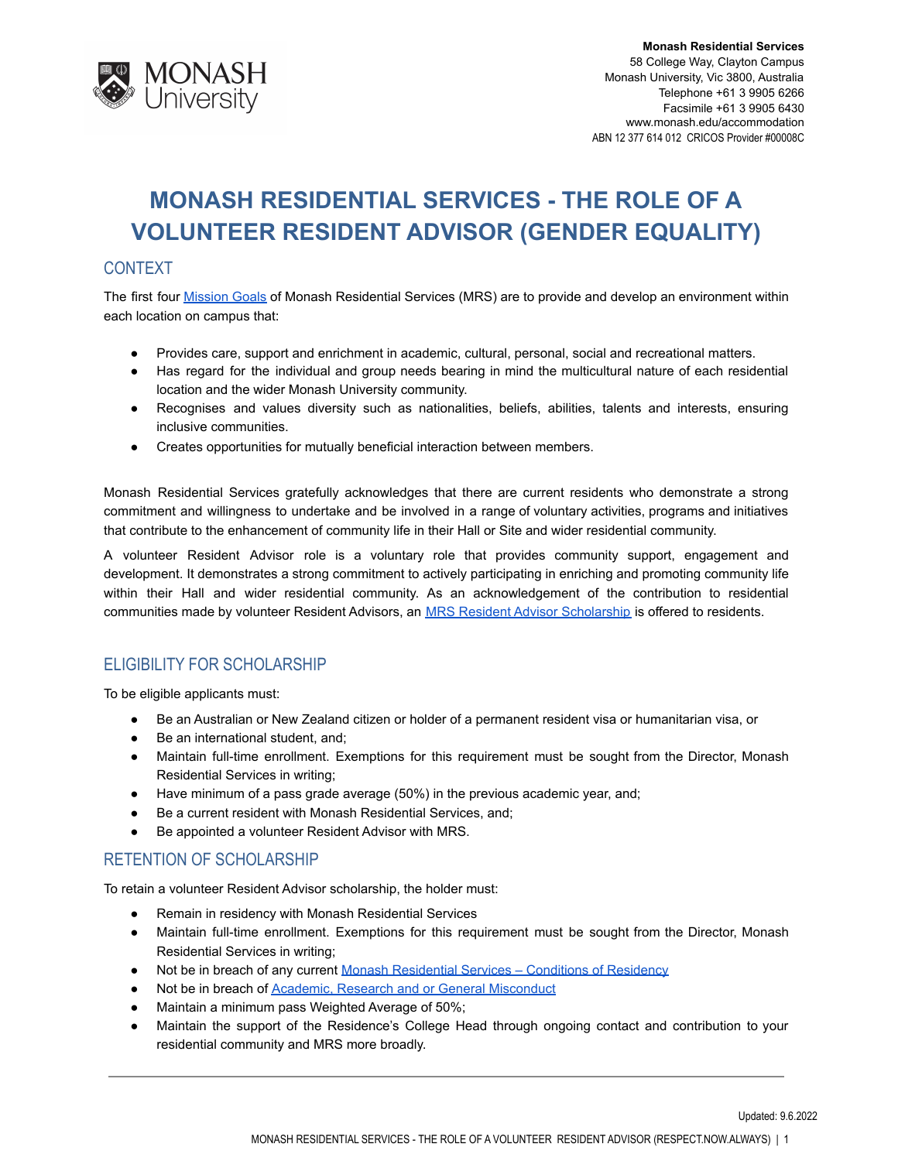

**Monash Residential Services** 58 College Way, Clayton Campus Monash University, Vic 3800, Australia Telephone +61 3 9905 6266 Facsimile +61 3 9905 6430 www.monash.edu/accommodation ABN 12 377 614 012 CRICOS Provider #00008C

# **MONASH RESIDENTIAL SERVICES - THE ROLE OF A VOLUNTEER RESIDENT ADVISOR (GENDER EQUALITY)**

### **CONTEXT**

The first four [Mission](http://www.monash.edu/accommodation/contact/about-us) Goals of Monash Residential Services (MRS) are to provide and develop an environment within each location on campus that:

- Provides care, support and enrichment in academic, cultural, personal, social and recreational matters.
- Has regard for the individual and group needs bearing in mind the multicultural nature of each residential location and the wider Monash University community.
- Recognises and values diversity such as nationalities, beliefs, abilities, talents and interests, ensuring inclusive communities.
- Creates opportunities for mutually beneficial interaction between members.

Monash Residential Services gratefully acknowledges that there are current residents who demonstrate a strong commitment and willingness to undertake and be involved in a range of voluntary activities, programs and initiatives that contribute to the enhancement of community life in their Hall or Site and wider residential community.

A volunteer Resident Advisor role is a voluntary role that provides community support, engagement and development. It demonstrates a strong commitment to actively participating in enriching and promoting community life within their Hall and wider residential community. As an acknowledgement of the contribution to residential communities made by volunteer Resident Advisors, an [MRS Resident Advisor Scholarship](https://www.monash.edu/study/fees-scholarships/scholarships/find-a-scholarship/mrs-residential-advisor-scholarship-5692) is offered to residents.

# ELIGIBILITY FOR SCHOLARSHIP

To be eligible applicants must:

- Be an Australian or New Zealand citizen or holder of a permanent resident visa or humanitarian visa, or
- Be an international student, and;
- Maintain full-time enrollment. Exemptions for this requirement must be sought from the Director, Monash Residential Services in writing;
- Have minimum of a pass grade average (50%) in the previous academic year, and;
- Be a current resident with Monash Residential Services, and;
- Be appointed a volunteer Resident Advisor with MRS.

#### RETENTION OF SCHOLARSHIP

To retain a volunteer Resident Advisor scholarship, the holder must:

- Remain in residency with Monash Residential Services
- Maintain full-time enrollment. Exemptions for this requirement must be sought from the Director, Monash Residential Services in writing;
- Not be in breach of any current Monash Residential [Services Conditions of Residency](https://www.monash.edu/accommodation/accommodation/regulations-and-policies/conditions-of-residency)
- Not be in breach of **[Academic, Research and or General](https://mga.monash.edu/get-help/advocacy/misconduct/) Misconduct**
- Maintain a minimum pass Weighted Average of 50%;
- Maintain the support of the Residence's College Head through ongoing contact and contribution to your residential community and MRS more broadly.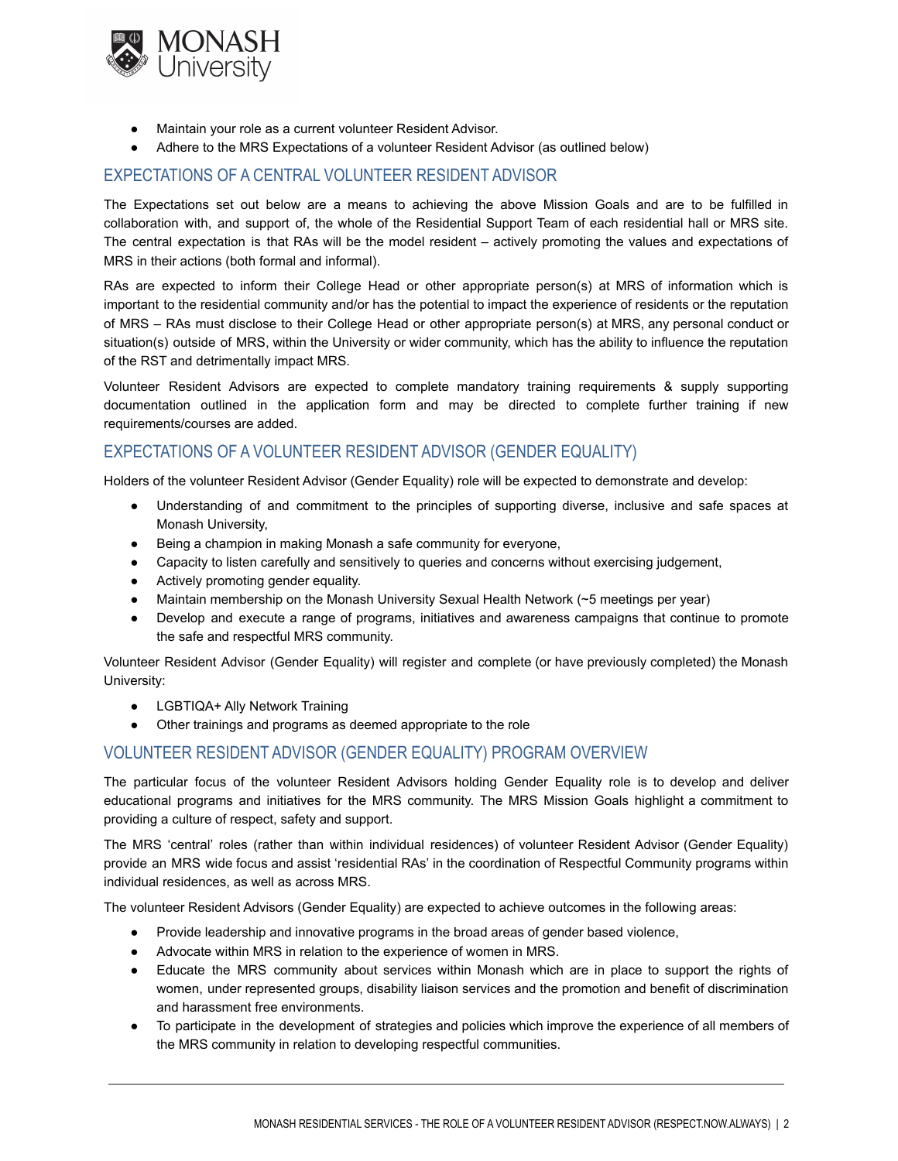

- Maintain your role as a current volunteer Resident Advisor.
- Adhere to the MRS Expectations of a volunteer Resident Advisor (as outlined below)

#### EXPECTATIONS OF A CENTRAL VOLUNTEER RESIDENT ADVISOR

The Expectations set out below are a means to achieving the above Mission Goals and are to be fulfilled in collaboration with, and support of, the whole of the Residential Support Team of each residential hall or MRS site. The central expectation is that RAs will be the model resident – actively promoting the values and expectations of MRS in their actions (both formal and informal).

RAs are expected to inform their College Head or other appropriate person(s) at MRS of information which is important to the residential community and/or has the potential to impact the experience of residents or the reputation of MRS – RAs must disclose to their College Head or other appropriate person(s) at MRS, any personal conduct or situation(s) outside of MRS, within the University or wider community, which has the ability to influence the reputation of the RST and detrimentally impact MRS.

Volunteer Resident Advisors are expected to complete mandatory training requirements & supply supporting documentation outlined in the application form and may be directed to complete further training if new requirements/courses are added.

# EXPECTATIONS OF A VOLUNTEER RESIDENT ADVISOR (GENDER EQUALITY)

Holders of the volunteer Resident Advisor (Gender Equality) role will be expected to demonstrate and develop:

- Understanding of and commitment to the principles of supporting diverse, inclusive and safe spaces at Monash University,
- Being a champion in making Monash a safe community for everyone,
- Capacity to listen carefully and sensitively to queries and concerns without exercising judgement,
- Actively promoting gender equality.
- Maintain membership on the Monash University Sexual Health Network (~5 meetings per year)
- Develop and execute a range of programs, initiatives and awareness campaigns that continue to promote the safe and respectful MRS community.

Volunteer Resident Advisor (Gender Equality) will register and complete (or have previously completed) the Monash University:

- LGBTIQA+ Ally Network Training
- Other trainings and programs as deemed appropriate to the role

#### VOLUNTEER RESIDENT ADVISOR (GENDER EQUALITY) PROGRAM OVERVIEW

The particular focus of the volunteer Resident Advisors holding Gender Equality role is to develop and deliver educational programs and initiatives for the MRS community. The MRS Mission Goals highlight a commitment to providing a culture of respect, safety and support.

The MRS 'central' roles (rather than within individual residences) of volunteer Resident Advisor (Gender Equality) provide an MRS wide focus and assist 'residential RAs' in the coordination of Respectful Community programs within individual residences, as well as across MRS.

The volunteer Resident Advisors (Gender Equality) are expected to achieve outcomes in the following areas:

- Provide leadership and innovative programs in the broad areas of gender based violence,
- Advocate within MRS in relation to the experience of women in MRS.
- Educate the MRS community about services within Monash which are in place to support the rights of women, under represented groups, disability liaison services and the promotion and benefit of discrimination and harassment free environments.
- To participate in the development of strategies and policies which improve the experience of all members of the MRS community in relation to developing respectful communities.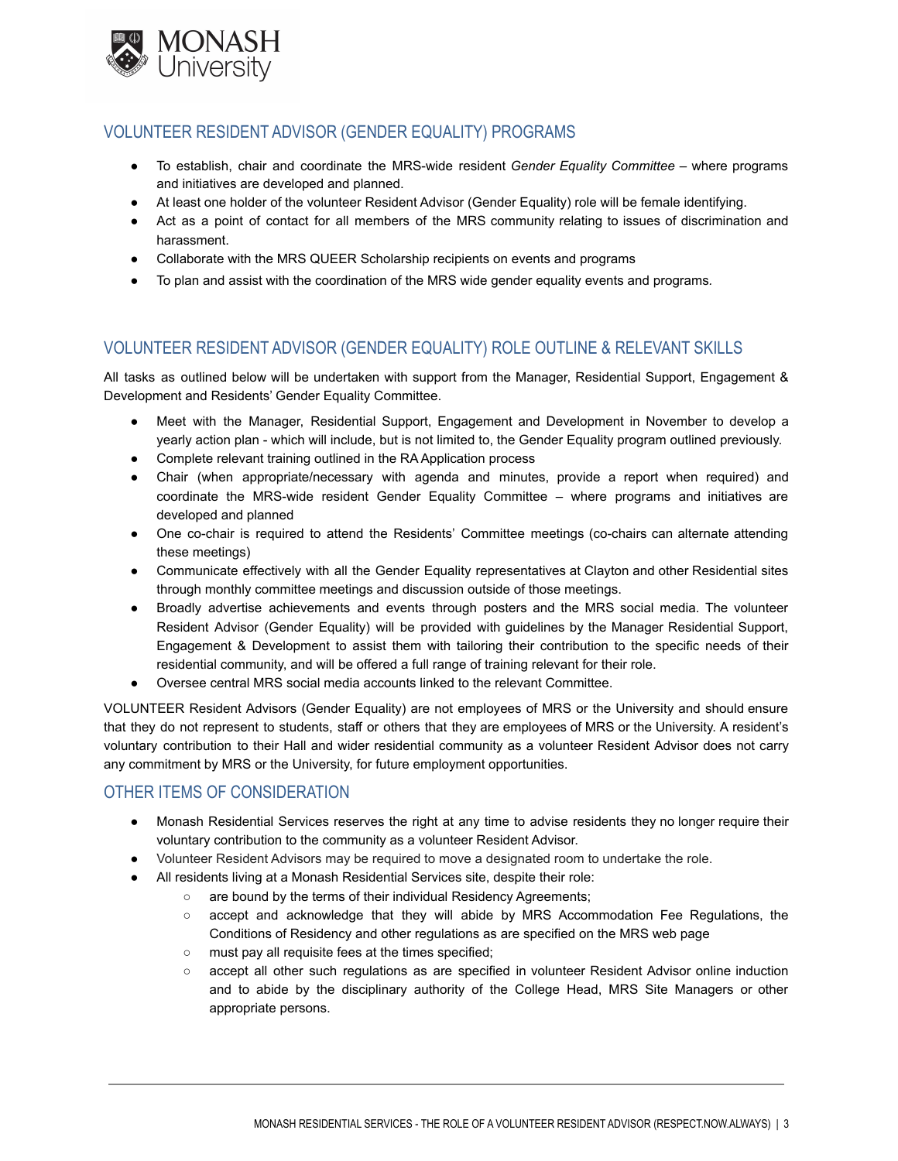

## VOLUNTEER RESIDENT ADVISOR (GENDER EQUALITY) PROGRAMS

- To establish, chair and coordinate the MRS-wide resident *Gender Equality Committee* where programs and initiatives are developed and planned.
- At least one holder of the volunteer Resident Advisor (Gender Equality) role will be female identifying.
- Act as a point of contact for all members of the MRS community relating to issues of discrimination and harassment.
- Collaborate with the MRS QUEER Scholarship recipients on events and programs
- To plan and assist with the coordination of the MRS wide gender equality events and programs*.*

# VOLUNTEER RESIDENT ADVISOR (GENDER EQUALITY) ROLE OUTLINE & RELEVANT SKILLS

All tasks as outlined below will be undertaken with support from the Manager, Residential Support, Engagement & Development and Residents' Gender Equality Committee.

- Meet with the Manager, Residential Support, Engagement and Development in November to develop a yearly action plan - which will include, but is not limited to, the Gender Equality program outlined previously.
- Complete relevant training outlined in the RA Application process
- Chair (when appropriate/necessary with agenda and minutes, provide a report when required) and coordinate the MRS-wide resident Gender Equality Committee – where programs and initiatives are developed and planned
- One co-chair is required to attend the Residents' Committee meetings (co-chairs can alternate attending these meetings)
- Communicate effectively with all the Gender Equality representatives at Clayton and other Residential sites through monthly committee meetings and discussion outside of those meetings.
- Broadly advertise achievements and events through posters and the MRS social media. The volunteer Resident Advisor (Gender Equality) will be provided with guidelines by the Manager Residential Support, Engagement & Development to assist them with tailoring their contribution to the specific needs of their residential community, and will be offered a full range of training relevant for their role.
- Oversee central MRS social media accounts linked to the relevant Committee.

VOLUNTEER Resident Advisors (Gender Equality) are not employees of MRS or the University and should ensure that they do not represent to students, staff or others that they are employees of MRS or the University. A resident's voluntary contribution to their Hall and wider residential community as a volunteer Resident Advisor does not carry any commitment by MRS or the University, for future employment opportunities.

# OTHER ITEMS OF CONSIDERATION

- Monash Residential Services reserves the right at any time to advise residents they no longer require their voluntary contribution to the community as a volunteer Resident Advisor.
- Volunteer Resident Advisors may be required to move a designated room to undertake the role.
- All residents living at a Monash Residential Services site, despite their role:
	- are bound by the terms of their individual Residency Agreements;
	- accept and acknowledge that they will abide by MRS Accommodation Fee Regulations, the Conditions of Residency and other regulations as are specified on the MRS web page
	- must pay all requisite fees at the times specified;
	- accept all other such regulations as are specified in volunteer Resident Advisor online induction and to abide by the disciplinary authority of the College Head, MRS Site Managers or other appropriate persons.